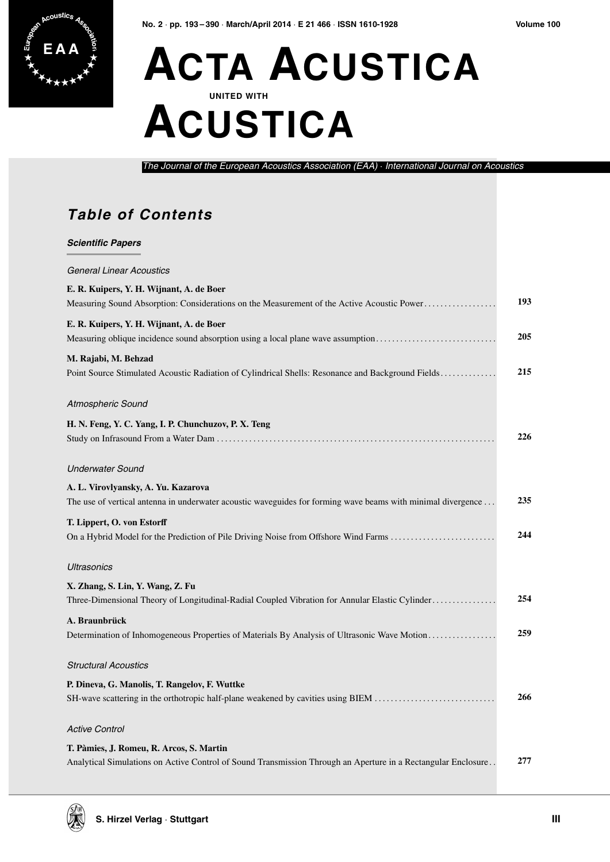

## **E A A ACTA ACUSTICA UNITED WITH ACUSTICA**

*The Journal of the European Acoustics Association (EAA)* · *International Journal on Acoustics*

## **Table of Contents**

| <b>Scientific Papers</b>                                                                                                                                  |     |
|-----------------------------------------------------------------------------------------------------------------------------------------------------------|-----|
| <b>General Linear Acoustics</b>                                                                                                                           |     |
| E. R. Kuipers, Y. H. Wijnant, A. de Boer<br>Measuring Sound Absorption: Considerations on the Measurement of the Active Acoustic Power                    | 193 |
| E. R. Kuipers, Y. H. Wijnant, A. de Boer<br>Measuring oblique incidence sound absorption using a local plane wave assumption                              | 205 |
| M. Rajabi, M. Behzad<br>Point Source Stimulated Acoustic Radiation of Cylindrical Shells: Resonance and Background Fields                                 | 215 |
| Atmospheric Sound                                                                                                                                         |     |
| H. N. Feng, Y. C. Yang, I. P. Chunchuzov, P. X. Teng                                                                                                      | 226 |
| <b>Underwater Sound</b>                                                                                                                                   |     |
| A. L. Virovlyansky, A. Yu. Kazarova<br>The use of vertical antenna in underwater acoustic waveguides for forming wave beams with minimal divergence       | 235 |
| T. Lippert, O. von Estorff<br>On a Hybrid Model for the Prediction of Pile Driving Noise from Offshore Wind Farms                                         | 244 |
| <b>Ultrasonics</b>                                                                                                                                        |     |
| X. Zhang, S. Lin, Y. Wang, Z. Fu<br>Three-Dimensional Theory of Longitudinal-Radial Coupled Vibration for Annular Elastic Cylinder                        | 254 |
| A. Braunbrück                                                                                                                                             | 259 |
| <b>Structural Acoustics</b>                                                                                                                               |     |
| P. Dineva, G. Manolis, T. Rangelov, F. Wuttke<br>SH-wave scattering in the orthotropic half-plane weakened by cavities using BIEM                         | 266 |
| <b>Active Control</b>                                                                                                                                     |     |
| T. Pàmies, J. Romeu, R. Arcos, S. Martin<br>Analytical Simulations on Active Control of Sound Transmission Through an Aperture in a Rectangular Enclosure | 277 |